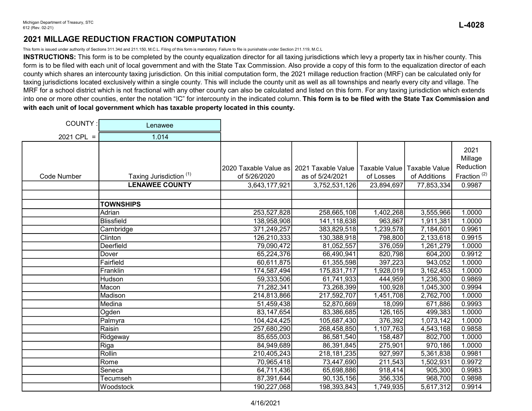This form is issued under authority of Sections 311.34d and 211.150, M.C.L. Filing of this form is mandatory. Failure to file is punishable under Section 211.119, M.C.L

INSTRUCTIONS: This form is to be completed by the county equalization director for all taxing jurisdictions which levy a property tax in his/her county. This form is to be filed with each unit of local government and with the State Tax Commission. Also provide a copy of this form to the equalization director of each county which shares an intercounty taxing jurisdiction. On this initial computation form, the 2021 millage reduction fraction (MRF) can be calculated only for taxing jurisdictions located exclusively within a single county. This will include the county unit as well as all townships and nearly every city and village. The MRF for a school district which is not fractional with any other county can also be calculated and listed on this form. For any taxing jurisdiction which extends into one or more other counties, enter the notation "IC" for intercounty in the indicated column. This form is to be filed with the State Tax Commission and with each unit of local government which has taxable property located in this county.

| COUNTY:     | Lenawee                            |                                          |                 |               |               |                              |
|-------------|------------------------------------|------------------------------------------|-----------------|---------------|---------------|------------------------------|
| 2021 CPL =  | 1.014                              |                                          |                 |               |               |                              |
|             |                                    | 2020 Taxable Value as 2021 Taxable Value |                 | Taxable Value | Taxable Value | 2021<br>Millage<br>Reduction |
| Code Number | Taxing Jurisdiction <sup>(1)</sup> | of 5/26/2020                             | as of 5/24/2021 | of Losses     | of Additions  | Fraction <sup>(2)</sup>      |
|             | <b>LENAWEE COUNTY</b>              | 3,643,177,921                            | 3,752,531,126   | 23,894,697    | 77,853,334    | 0.9987                       |
|             |                                    |                                          |                 |               |               |                              |
|             | <b>TOWNSHIPS</b>                   |                                          |                 |               |               |                              |
|             | Adrian                             | 253,527,828                              | 258,665,108     | 1,402,268     | 3,555,966     | 1.0000                       |
|             | <b>Blissfield</b>                  | 138,958,908                              | 141,118,638     | 963,867       | 1,911,381     | 1.0000                       |
|             | Cambridge                          | 371,249,257                              | 383,829,518     | 1,239,578     | 7,184,601     | 0.9961                       |
|             | Clinton                            | 126,210,333                              | 130,388,918     | 798,800       | 2,133,618     | 0.9915                       |
|             | Deerfield                          | 79,090,472                               | 81,052,557      | 376,059       | 1,261,279     | 1.0000                       |
|             | Dover                              | 65,224,376                               | 66,490,941      | 820,798       | 604,200       | 0.9912                       |
|             | Fairfield                          | 60,611,875                               | 61,355,598      | 397,223       | 943,052       | 1.0000                       |
|             | Franklin                           | 174,587,494                              | 175,831,717     | 1,928,019     | 3,162,453     | 1.0000                       |
|             | Hudson                             | 59,333,506                               | 61,741,933      | 444,959       | 1,236,300     | 0.9869                       |
|             | Macon                              | 71,282,341                               | 73,268,399      | 100,928       | 1,045,300     | 0.9994                       |
|             | Madison                            | 214,813,866                              | 217,592,707     | 1,451,708     | 2,762,700     | 1.0000                       |
|             | Medina                             | 51,459,438                               | 52,870,669      | 18,099        | 671,886       | 0.9993                       |
|             | Ogden                              | 83, 147, 654                             | 83,386,685      | 126,165       | 499,383       | 1.0000                       |
|             | Palmyra                            | 104,424,425                              | 105,687,430     | 376,392       | 1,073,142     | 1.0000                       |
|             | Raisin                             | 257,680,290                              | 268,458,850     | 1,107,763     | 4,543,168     | 0.9858                       |
|             | Ridgeway                           | 85,655,003                               | 86,581,540      | 158,487       | 802,700       | 1.0000                       |
|             | Riga                               | 84,949,689                               | 86,391,845      | 275,901       | 970,186       | 1.0000                       |
|             | Rollin                             | 210,405,243                              | 218, 181, 235   | 927,997       | 5,361,838     | 0.9981                       |
|             | Rome                               | 70,965,418                               | 73,447,690      | 211,543       | 1,502,931     | 0.9972                       |
|             | Seneca                             | 64,711,436                               | 65,698,886      | 918,414       | 905,300       | 0.9983                       |
|             | Tecumseh                           | 87,391,644                               | 90,135,156      | 356,335       | 968,700       | 0.9898                       |
|             | Woodstock                          | 190,227,068                              | 198,393,843     | 1,749,935     | 5,617,312     | 0.9914                       |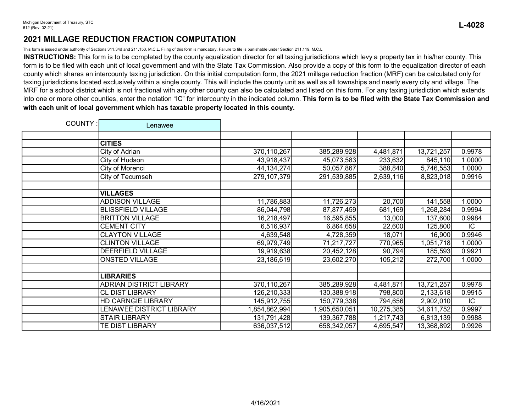This form is issued under authority of Sections 311.34d and 211.150, M.C.L. Filing of this form is mandatory. Failure to file is punishable under Section 211.119, M.C.L

INSTRUCTIONS: This form is to be completed by the county equalization director for all taxing jurisdictions which levy a property tax in his/her county. This form is to be filed with each unit of local government and with the State Tax Commission. Also provide a copy of this form to the equalization director of each county which shares an intercounty taxing jurisdiction. On this initial computation form, the 2021 millage reduction fraction (MRF) can be calculated only for taxing jurisdictions located exclusively within a single county. This will include the county unit as well as all townships and nearly every city and village. The MRF for a school district which is not fractional with any other county can also be calculated and listed on this form. For any taxing jurisdiction which extends into one or more other counties, enter the notation "IC" for intercounty in the indicated column. This form is to be filed with the State Tax Commission and with each unit of local government which has taxable property located in this county.

| COUNTY: | Lenawee                        |               |               |            |            |        |
|---------|--------------------------------|---------------|---------------|------------|------------|--------|
|         |                                |               |               |            |            |        |
|         | <b>CITIES</b>                  |               |               |            |            |        |
|         | City of Adrian                 | 370,110,267   | 385,289,928   | 4,481,871  | 13,721,257 | 0.9978 |
|         | City of Hudson                 | 43,918,437    | 45,073,583    | 233,632    | 845,110    | 1.0000 |
|         | City of Morenci                | 44, 134, 274  | 50,057,867    | 388,840    | 5,746,553  | 1.0000 |
|         | City of Tecumseh               | 279, 107, 379 | 291,539,885   | 2,639,116  | 8,823,018  | 0.9916 |
|         |                                |               |               |            |            |        |
|         | <b>VILLAGES</b>                |               |               |            |            |        |
|         | <b>ADDISON VILLAGE</b>         | 11,786,883    | 11,726,273    | 20,700     | 141,558    | 1.0000 |
|         | <b>BLISSFIELD VILLAGE</b>      | 86,044,798    | 87,877,459    | 681,169    | 1,268,284  | 0.9994 |
|         | <b>BRITTON VILLAGE</b>         | 16,218,497    | 16,595,855    | 13,000     | 137,600    | 0.9984 |
|         | <b>CEMENT CITY</b>             | 6,516,937     | 6,864,658     | 22,600     | 125,800    | IC.    |
|         | <b>CLAYTON VILLAGE</b>         | 4,639,548     | 4,728,359     | 18,071     | 16,900     | 0.9946 |
|         | <b>CLINTON VILLAGE</b>         | 69,979,749    | 71,217,727    | 770,965    | 1,051,718  | 1.0000 |
|         | DEERFIELD VILLAGE              | 19,919,638    | 20,452,128    | 90,794     | 185,593    | 0.9921 |
|         | <b>ONSTED VILLAGE</b>          | 23,186,619    | 23,602,270    | 105,212    | 272,700    | 1.0000 |
|         |                                |               |               |            |            |        |
|         | <b>LIBRARIES</b>               |               |               |            |            |        |
|         | <b>ADRIAN DISTRICT LIBRARY</b> | 370,110,267   | 385,289,928   | 4,481,871  | 13,721,257 | 0.9978 |
|         | <b>CL DIST LIBRARY</b>         | 126,210,333   | 130,388,918   | 798,800    | 2,133,618  | 0.9915 |
|         | <b>HD CARNGIE LIBRARY</b>      | 145,912,755   | 150,779,338   | 794,656    | 2,902,010  | IC     |
|         | LENAWEE DISTRICT LIBRARY       | 1,854,862,994 | 1,905,650,051 | 10,275,385 | 34,611,752 | 0.9997 |
|         | <b>STAIR LIBRARY</b>           | 131,791,428   | 139,367,788   | 1,217,743  | 6,813,139  | 0.9988 |
|         | TE DIST LIBRARY                | 636,037,512   | 658,342,057   | 4,695,547  | 13,368,892 | 0.9926 |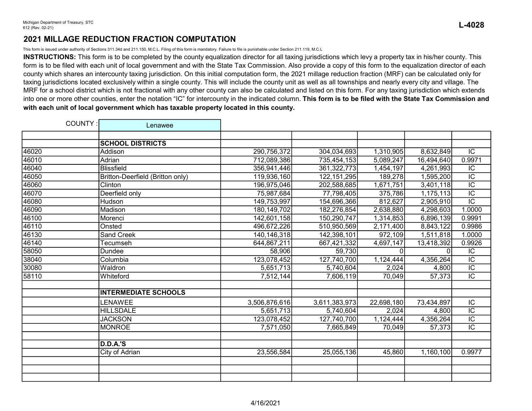This form is issued under authority of Sections 311.34d and 211.150, M.C.L. Filing of this form is mandatory. Failure to file is punishable under Section 211.119, M.C.L

INSTRUCTIONS: This form is to be completed by the county equalization director for all taxing jurisdictions which levy a property tax in his/her county. This form is to be filed with each unit of local government and with the State Tax Commission. Also provide a copy of this form to the equalization director of each county which shares an intercounty taxing jurisdiction. On this initial computation form, the 2021 millage reduction fraction (MRF) can be calculated only for taxing jurisdictions located exclusively within a single county. This will include the county unit as well as all townships and nearly every city and village. The MRF for a school district which is not fractional with any other county can also be calculated and listed on this form. For any taxing jurisdiction which extends into one or more other counties, enter the notation "IC" for intercounty in the indicated column. This form is to be filed with the State Tax Commission and with each unit of local government which has taxable property located in this county.

| COUNTY: | Lenawee                          |               |               |            |            |                 |
|---------|----------------------------------|---------------|---------------|------------|------------|-----------------|
|         |                                  |               |               |            |            |                 |
|         | <b>SCHOOL DISTRICTS</b>          |               |               |            |            |                 |
| 46020   | Addison                          | 290,756,372   | 304,034,693   | 1,310,905  | 8,632,849  | $\overline{IC}$ |
| 46010   | Adrian                           | 712,089,386   | 735,454,153   | 5,089,247  | 16,494,640 | 0.9971          |
| 46040   | <b>Blissfield</b>                | 356,941,446   | 361,322,773   | 1,454,197  | 4,261,993  | $\overline{IC}$ |
| 46050   | Britton-Deerfield (Britton only) | 119,936,160   | 122, 151, 295 | 189,278    | 1,595,200  | $\overline{IC}$ |
| 46060   | Clinton                          | 196,975,046   | 202,588,685   | 1,671,751  | 3,401,118  | $\overline{IC}$ |
| 46070   | Deerfield only                   | 75,987,684    | 77,798,405    | 375,786    | 1,175,113  | $\overline{IC}$ |
| 46080   | Hudson                           | 149,753,997   | 154,696,366   | 812,627    | 2,905,910  | $\overline{IC}$ |
| 46090   | Madison                          | 180, 149, 702 | 182,276,854   | 2,638,880  | 4,298,603  | 1.0000          |
| 46100   | Morenci                          | 142,601,158   | 150,290,747   | 1,314,853  | 6,896,139  | 0.9991          |
| 46110   | Onsted                           | 496,672,226   | 510,950,569   | 2,171,400  | 8,843,122  | 0.9986          |
| 46130   | <b>Sand Creek</b>                | 140, 146, 318 | 142,398,101   | 972,109    | 1,511,818  | 1.0000          |
| 46140   | Tecumseh                         | 644,867,211   | 667,421,332   | 4,697,147  | 13,418,392 | 0.9926          |
| 58050   | Dundee                           | 58,906        | 59,730        |            |            | IC              |
| 38040   | Columbia                         | 123,078,452   | 127,740,700   | 1,124,444  | 4,356,264  | $\overline{IC}$ |
| 30080   | Waldron                          | 5,651,713     | 5,740,604     | 2,024      | 4,800      | $\overline{IC}$ |
| 58110   | Whiteford                        | 7,512,144     | 7,606,119     | 70,049     | 57,373     | $\overline{IC}$ |
|         |                                  |               |               |            |            |                 |
|         | <b>INTERMEDIATE SCHOOLS</b>      |               |               |            |            |                 |
|         | LENAWEE                          | 3,506,876,616 | 3,611,383,973 | 22,698,180 | 73,434,897 | IC              |
|         | <b>HILLSDALE</b>                 | 5,651,713     | 5,740,604     | 2,024      | 4,800      | $\overline{IC}$ |
|         | <b>JACKSON</b>                   | 123,078,452   | 127,740,700   | 1,124,444  | 4,356,264  | $\overline{IC}$ |
|         | <b>MONROE</b>                    | 7,571,050     | 7,665,849     | 70,049     | 57,373     | $\overline{IC}$ |
|         |                                  |               |               |            |            |                 |
|         | <b>D.D.A.'S</b>                  |               |               |            |            |                 |
|         | City of Adrian                   | 23,556,584    | 25,055,136    | 45,860     | 1,160,100  | 0.9977          |
|         |                                  |               |               |            |            |                 |
|         |                                  |               |               |            |            |                 |
|         |                                  |               |               |            |            |                 |